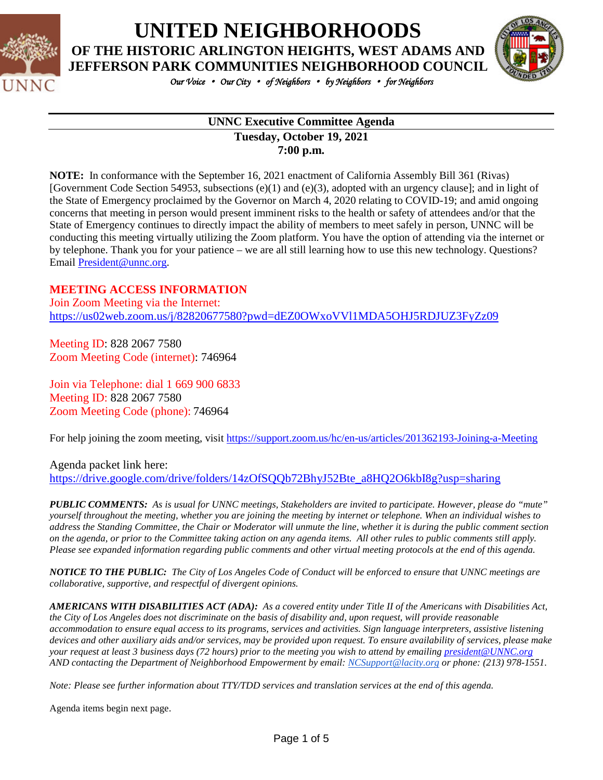

**UNITED NEIGHBORHOODS**

**OF THE HISTORIC ARLINGTON HEIGHTS, WEST ADAMS AND JEFFERSON PARK COMMUNITIES NEIGHBORHOOD COUNCIL**



*Our Voice* • *Our City* • *of Neighbors* • *by Neighbors* • *for Neighbors* 

#### **UNNC Executive Committee Agenda Tuesday, October 19, 2021 7:00 p.m.**

**NOTE:** In conformance with the September 16, 2021 enactment of California Assembly Bill 361 (Rivas) [Government Code Section 54953, subsections (e)(1) and (e)(3), adopted with an urgency clause]; and in light of the State of Emergency proclaimed by the Governor on March 4, 2020 relating to COVID-19; and amid ongoing concerns that meeting in person would present imminent risks to the health or safety of attendees and/or that the State of Emergency continues to directly impact the ability of members to meet safely in person, UNNC will be conducting this meeting virtually utilizing the Zoom platform. You have the option of attending via the internet or by telephone. Thank you for your patience – we are all still learning how to use this new technology. Questions? Email [President@unnc.org.](mailto:President@unnc.org)

#### **MEETING ACCESS INFORMATION**

Join Zoom Meeting via the Internet: <https://us02web.zoom.us/j/82820677580?pwd=dEZ0OWxoVVl1MDA5OHJ5RDJUZ3FyZz09>

Meeting ID: 828 2067 7580 Zoom Meeting Code (internet): 746964

Join via Telephone: dial 1 669 900 6833 Meeting ID: 828 2067 7580 Zoom Meeting Code (phone): 746964

For help joining the zoom meeting, visit<https://support.zoom.us/hc/en-us/articles/201362193-Joining-a-Meeting>

Agenda packet link here: [https://drive.google.com/drive/folders/14zOfSQQb72BhyJ52Bte\\_a8HQ2O6kbI8g?usp=sharing](https://drive.google.com/drive/folders/14zOfSQQb72BhyJ52Bte_a8HQ2O6kbI8g?usp=sharing)

*PUBLIC COMMENTS: As is usual for UNNC meetings, Stakeholders are invited to participate. However, please do "mute" yourself throughout the meeting, whether you are joining the meeting by internet or telephone. When an individual wishes to address the Standing Committee, the Chair or Moderator will unmute the line, whether it is during the public comment section on the agenda, or prior to the Committee taking action on any agenda items. All other rules to public comments still apply. Please see expanded information regarding public comments and other virtual meeting protocols at the end of this agenda.*

*NOTICE TO THE PUBLIC: The City of Los Angeles Code of Conduct will be enforced to ensure that UNNC meetings are collaborative, supportive, and respectful of divergent opinions.* 

*AMERICANS WITH DISABILITIES ACT (ADA): As a covered entity under Title II of the Americans with Disabilities Act, the City of Los Angeles does not discriminate on the basis of disability and, upon request, will provide reasonable accommodation to ensure equal access to its programs, services and activities. Sign language interpreters, assistive listening devices and other auxiliary aids and/or services, may be provided upon request. To ensure availability of services, please make your request at least 3 business days (72 hours) prior to the meeting you wish to attend by emailing [president@UNNC.org](mailto:president@UNNC.org) AND contacting the Department of Neighborhood Empowerment by email: [NCSupport@lacity.org](mailto:NCSupport@lacity.org) or phone: (213) 978-1551.*

*Note: Please see further information about TTY/TDD services and translation services at the end of this agenda.*

Agenda items begin next page.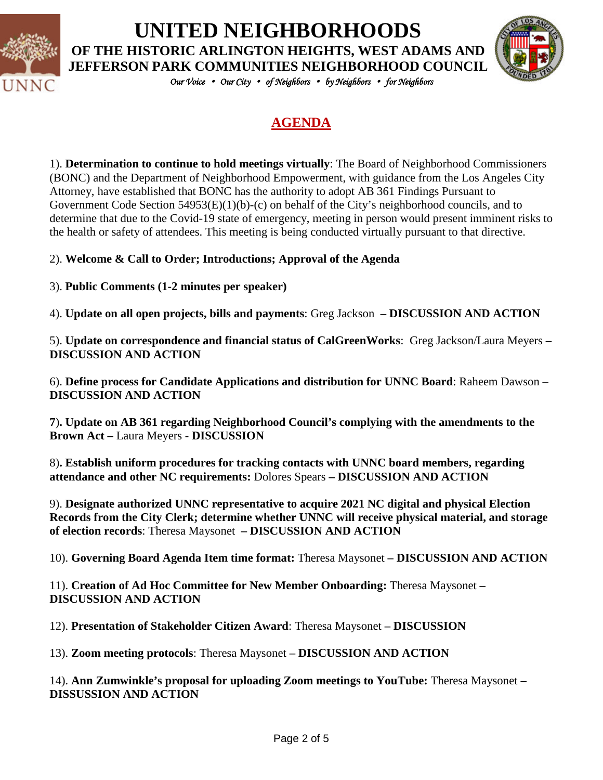

## **UNITED NEIGHBORHOODS OF THE HISTORIC ARLINGTON HEIGHTS, WEST ADAMS AND**



*Our Voice* • *Our City* • *of Neighbors* • *by Neighbors* • *for Neighbors* 

## **AGENDA**

1). **Determination to continue to hold meetings virtually**: The Board of Neighborhood Commissioners (BONC) and the Department of Neighborhood Empowerment, with guidance from the Los Angeles City Attorney, have established that BONC has the authority to adopt AB 361 Findings Pursuant to Government Code Section 54953(E)(1)(b)-(c) on behalf of the City's neighborhood councils, and to determine that due to the Covid-19 state of emergency, meeting in person would present imminent risks to the health or safety of attendees. This meeting is being conducted virtually pursuant to that directive.

#### 2). **Welcome & Call to Order; Introductions; Approval of the Agenda**

3). **Public Comments (1-2 minutes per speaker)**

4). **Update on all open projects, bills and payments**: Greg Jackson **– DISCUSSION AND ACTION**

5). **Update on correspondence and financial status of CalGreenWorks**: Greg Jackson/Laura Meyers **– DISCUSSION AND ACTION**

6). **Define process for Candidate Applications and distribution for UNNC Board**: Raheem Dawson – **DISCUSSION AND ACTION**

**7**)**. Update on AB 361 regarding Neighborhood Council's complying with the amendments to the Brown Act –** Laura Meyers **- DISCUSSION**

8)**. Establish uniform procedures for tracking contacts with UNNC board members, regarding attendance and other NC requirements:** Dolores Spears **– DISCUSSION AND ACTION**

9). **Designate authorized UNNC representative to acquire 2021 NC digital and physical Election Records from the City Clerk; determine whether UNNC will receive physical material, and storage of election records**: Theresa Maysonet **– DISCUSSION AND ACTION**

10). **Governing Board Agenda Item time format:** Theresa Maysonet **– DISCUSSION AND ACTION**

11). **Creation of Ad Hoc Committee for New Member Onboarding:** Theresa Maysonet **– DISCUSSION AND ACTION**

12). **Presentation of Stakeholder Citizen Award**: Theresa Maysonet **– DISCUSSION** 

13). **Zoom meeting protocols**: Theresa Maysonet **– DISCUSSION AND ACTION**

14). **Ann Zumwinkle's proposal for uploading Zoom meetings to YouTube:** Theresa Maysonet **– DISSUSSION AND ACTION**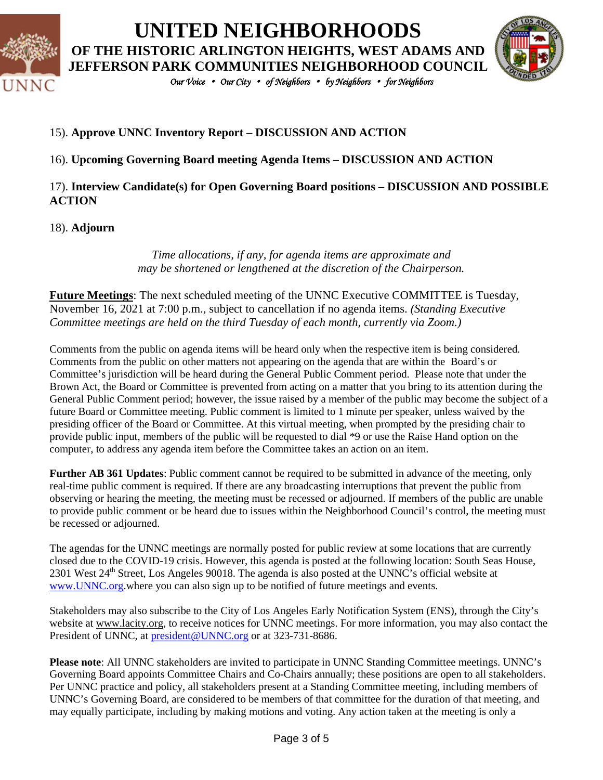

# **UNITED NEIGHBORHOODS**

**OF THE HISTORIC ARLINGTON HEIGHTS, WEST ADAMS AND JEFFERSON PARK COMMUNITIES NEIGHBORHOOD COUNCIL**



*Our Voice* • *Our City* • *of Neighbors* • *by Neighbors* • *for Neighbors* 

#### 15). **Approve UNNC Inventory Report – DISCUSSION AND ACTION**

#### 16). **Upcoming Governing Board meeting Agenda Items – DISCUSSION AND ACTION**

#### 17). **Interview Candidate(s) for Open Governing Board positions – DISCUSSION AND POSSIBLE ACTION**

#### 18). **Adjourn**

*Time allocations, if any, for agenda items are approximate and may be shortened or lengthened at the discretion of the Chairperson.*

**Future Meetings**: The next scheduled meeting of the UNNC Executive COMMITTEE is Tuesday, November 16, 2021 at 7:00 p.m., subject to cancellation if no agenda items. *(Standing Executive Committee meetings are held on the third Tuesday of each month, currently via Zoom.)*

Comments from the public on agenda items will be heard only when the respective item is being considered. Comments from the public on other matters not appearing on the agenda that are within the Board's or Committee's jurisdiction will be heard during the General Public Comment period. Please note that under the Brown Act, the Board or Committee is prevented from acting on a matter that you bring to its attention during the General Public Comment period; however, the issue raised by a member of the public may become the subject of a future Board or Committee meeting. Public comment is limited to 1 minute per speaker, unless waived by the presiding officer of the Board or Committee. At this virtual meeting, when prompted by the presiding chair to provide public input, members of the public will be requested to dial \*9 or use the Raise Hand option on the computer, to address any agenda item before the Committee takes an action on an item.

**Further AB 361 Updates**: Public comment cannot be required to be submitted in advance of the meeting, only real-time public comment is required. If there are any broadcasting interruptions that prevent the public from observing or hearing the meeting, the meeting must be recessed or adjourned. If members of the public are unable to provide public comment or be heard due to issues within the Neighborhood Council's control, the meeting must be recessed or adjourned.

The agendas for the UNNC meetings are normally posted for public review at some locations that are currently closed due to the COVID-19 crisis. However, this agenda is posted at the following location: South Seas House, 2301 West 24<sup>th</sup> Street, Los Angeles 90018. The agenda is also posted at the UNNC's official website at [www.UNNC.org.](http://www.unnc.org/)where you can also sign up to be notified of future meetings and events.

Stakeholders may also subscribe to the City of Los Angeles Early Notification System (ENS), through the City's website at www.lacity.org, to receive notices for UNNC meetings. For more information, you may also contact the President of UNNC, at [president@UNNC.org](mailto:president@UNNC.org) or at 323-731-8686.

**Please note**: All UNNC stakeholders are invited to participate in UNNC Standing Committee meetings. UNNC's Governing Board appoints Committee Chairs and Co-Chairs annually; these positions are open to all stakeholders. Per UNNC practice and policy, all stakeholders present at a Standing Committee meeting, including members of UNNC's Governing Board, are considered to be members of that committee for the duration of that meeting, and may equally participate, including by making motions and voting. Any action taken at the meeting is only a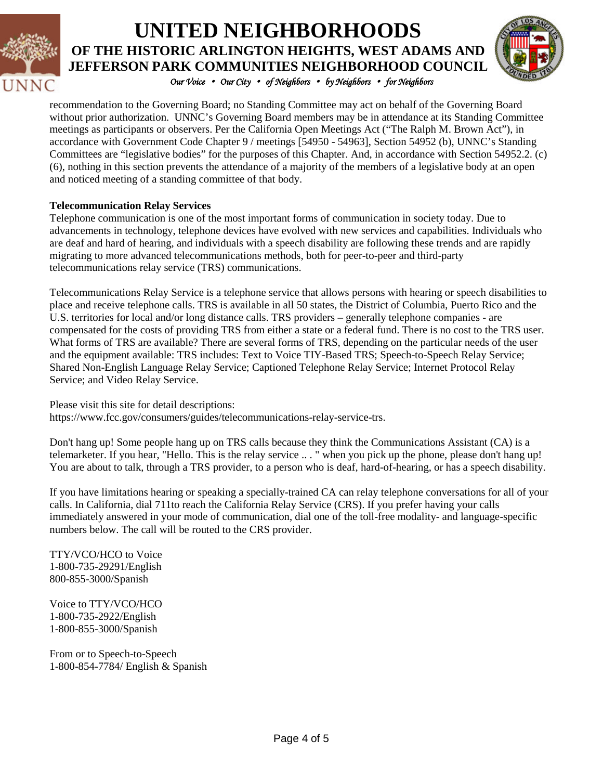

## **UNITED NEIGHBORHOODS OF THE HISTORIC ARLINGTON HEIGHTS, WEST ADAMS AND JEFFERSON PARK COMMUNITIES NEIGHBORHOOD COUNCIL**



*Our Voice* • *Our City* • *of Neighbors* • *by Neighbors* • *for Neighbors* 

recommendation to the Governing Board; no Standing Committee may act on behalf of the Governing Board without prior authorization. UNNC's Governing Board members may be in attendance at its Standing Committee meetings as participants or observers. Per the California Open Meetings Act ("The Ralph M. Brown Act"), in accordance with Government Code Chapter 9 / meetings [54950 - 54963], Section 54952 (b), UNNC's Standing Committees are "legislative bodies" for the purposes of this Chapter. And, in accordance with Section 54952.2. (c) (6), nothing in this section prevents the attendance of a majority of the members of a legislative body at an open and noticed meeting of a standing committee of that body.

#### **Telecommunication Relay Services**

Telephone communication is one of the most important forms of communication in society today. Due to advancements in technology, telephone devices have evolved with new services and capabilities. Individuals who are deaf and hard of hearing, and individuals with a speech disability are following these trends and are rapidly migrating to more advanced telecommunications methods, both for peer-to-peer and third-party telecommunications relay service (TRS) communications.

Telecommunications Relay Service is a telephone service that allows persons with hearing or speech disabilities to place and receive telephone calls. TRS is available in all 50 states, the District of Columbia, Puerto Rico and the U.S. territories for local and/or long distance calls. TRS providers – generally telephone companies - are compensated for the costs of providing TRS from either a state or a federal fund. There is no cost to the TRS user. What forms of TRS are available? There are several forms of TRS, depending on the particular needs of the user and the equipment available: TRS includes: Text to Voice TIY-Based TRS; Speech-to-Speech Relay Service; Shared Non-English Language Relay Service; Captioned Telephone Relay Service; Internet Protocol Relay Service; and Video Relay Service.

Please visit this site for detail descriptions:

https://www.fcc.gov/consumers/guides/telecommunications-relay-service-trs.

Don't hang up! Some people hang up on TRS calls because they think the Communications Assistant (CA) is a telemarketer. If you hear, "Hello. This is the relay service .. . " when you pick up the phone, please don't hang up! You are about to talk, through a TRS provider, to a person who is deaf, hard-of-hearing, or has a speech disability.

If you have limitations hearing or speaking a specially-trained CA can relay telephone conversations for all of your calls. In California, dial 711to reach the California Relay Service (CRS). If you prefer having your calls immediately answered in your mode of communication, dial one of the toll-free modality- and language-specific numbers below. The call will be routed to the CRS provider.

TTY/VCO/HCO to Voice 1-800-735-29291/English 800-855-3000/Spanish

Voice to TTY/VCO/HCO 1-800-735-2922/English 1-800-855-3000/Spanish

From or to Speech-to-Speech 1-800-854-7784/ English & Spanish